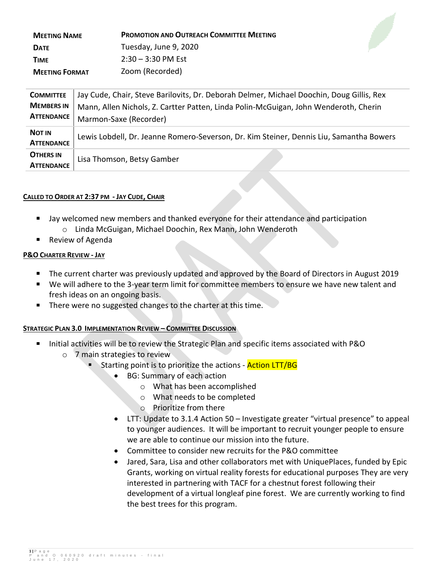| <b>MEETING NAME</b>   | <b>PROMOTION AND OUTREACH COMMITTEE MEETING</b> |
|-----------------------|-------------------------------------------------|
| <b>DATE</b>           | Tuesday, June 9, 2020                           |
| <b>TIME</b>           | $2:30 - 3:30$ PM Est                            |
| <b>MEETING FORMAT</b> | Zoom (Recorded)                                 |

| <b>COMMITTEE</b>                       | Jay Cude, Chair, Steve Barilovits, Dr. Deborah Delmer, Michael Doochin, Doug Gillis, Rex |
|----------------------------------------|------------------------------------------------------------------------------------------|
| <b>MEMBERS IN</b><br><b>ATTENDANCE</b> | Mann, Allen Nichols, Z. Cartter Patten, Linda Polin-McGuigan, John Wenderoth, Cherin     |
|                                        | Marmon-Saxe (Recorder)                                                                   |
| <b>NOT IN</b><br><b>ATTENDANCE</b>     | Lewis Lobdell, Dr. Jeanne Romero-Severson, Dr. Kim Steiner, Dennis Liu, Samantha Bowers  |
| <b>OTHERS IN</b><br><b>ATTENDANCE</b>  | Lisa Thomson, Betsy Gamber                                                               |

#### **CALLED TO ORDER AT 2:37 PM - JAY CUDE, CHAIR**

- Jay welcomed new members and thanked everyone for their attendance and participation o Linda McGuigan, Michael Doochin, Rex Mann, John Wenderoth
- Review of Agenda

# **P&O CHARTER REVIEW - JAY**

- The current charter was previously updated and approved by the Board of Directors in August 2019
- We will adhere to the 3-year term limit for committee members to ensure we have new talent and fresh ideas on an ongoing basis.
- There were no suggested changes to the charter at this time.

# **STRATEGIC PLAN 3.0 IMPLEMENTATION REVIEW – COMMITTEE DISCUSSION**

- Initial activities will be to review the Strategic Plan and specific items associated with P&O
	- o 7 main strategies to review
		- Starting point is to prioritize the actions **Action LTT/BG** 
			- BG: Summary of each action
				- o What has been accomplished
				- o What needs to be completed
				- o Prioritize from there
			- LTT: Update to 3.1.4 Action 50 Investigate greater "virtual presence" to appeal to younger audiences. It will be important to recruit younger people to ensure we are able to continue our mission into the future.
			- Committee to consider new recruits for the P&O committee
			- Jared, Sara, Lisa and other collaborators met with UniquePlaces, funded by Epic Grants, working on virtual reality forests for educational purposes They are very interested in partnering with TACF for a chestnut forest following their development of a virtual longleaf pine forest. We are currently working to find the best trees for this program.